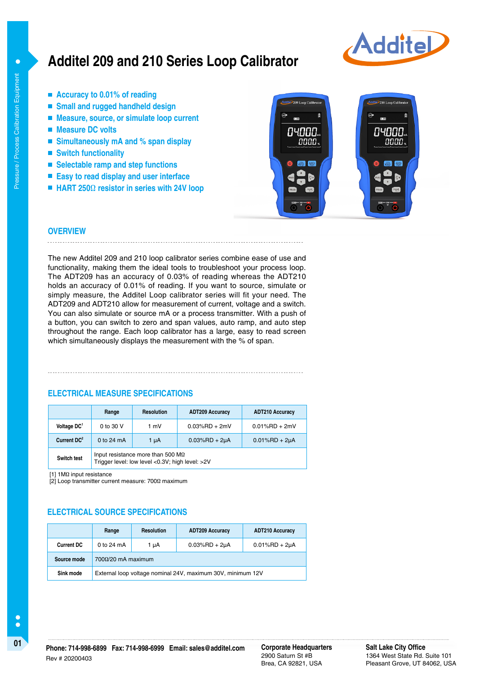# **Additel 209 and 210 Series Loop Calibrator**



- Accuracy to 0.01% of reading
- **Small and rugged handheld design**
- Measure, source, or simulate loop current
- Measure DC volts

Pressure / Process Calibration Equipment

Pressure / Process Calibration Equipment

 $\bullet$ 

- Simultaneously mA and % span display
- Switch functionality
- **Selectable ramp and step functions**
- **Easy to read display and user interface**
- **HART 250**Ω **resistor in series with 24V loop**



#### **OVERVIEW** . . . . . . . . . . . . . . . . .

The new Additel 209 and 210 loop calibrator series combine ease of use and functionality, making them the ideal tools to troubleshoot your process loop. The ADT209 has an accuracy of 0.03% of reading whereas the ADT210 holds an accuracy of 0.01% of reading. If you want to source, simulate or simply measure, the Additel Loop calibrator series will fit your need. The ADT209 and ADT210 allow for measurement of current, voltage and a switch. You can also simulate or source mA or a process transmitter. With a push of a button, you can switch to zero and span values, auto ramp, and auto step throughout the range. Each loop calibrator has a large, easy to read screen which simultaneously displays the measurement with the % of span.

#### **ELECTRICAL MEASURE SPECIFICATIONS**

|                         | Range                                                                                              | <b>Resolution</b> | <b>ADT209 Accuracy</b> | <b>ADT210 Accuracy</b> |
|-------------------------|----------------------------------------------------------------------------------------------------|-------------------|------------------------|------------------------|
| Voltage DC <sup>1</sup> | 0 to 30 V                                                                                          | 1 mV              | $0.03\%$ RD + 2mV      | $0.01\%$ RD + 2mV      |
| Current DC <sup>2</sup> | 0 to $24 \text{ mA}$                                                                               | 1 µA              | $0.03\%$ RD + 2µA      | $0.01\%$ RD + 2µA      |
| <b>Switch test</b>      | Input resistance more than 500 $\text{M}\Omega$<br>Trigger level: low level <0.3V; high level: >2V |                   |                        |                        |

[1] 1MΩ input resistance

 $[2]$  Loop transmitter current measure: 700Ω maximum

#### **ELECTRICAL SOURCE SPECIFICATIONS**

|                   | Range                                                       | <b>Resolution</b> | <b>ADT209 Accuracy</b> | <b>ADT210 Accuracy</b> |  |
|-------------------|-------------------------------------------------------------|-------------------|------------------------|------------------------|--|
| <b>Current DC</b> | 0 to 24 $mA$                                                | 1 µA              | $0.03%$ RD + 2µA       | $0.01%$ RD + 2µA       |  |
| Source mode       | $7000/20$ mA maximum                                        |                   |                        |                        |  |
| Sink mode         | External loop voltage nominal 24V, maximum 30V, minimum 12V |                   |                        |                        |  |

2900 Saturn St #B Brea, CA 92821, USA